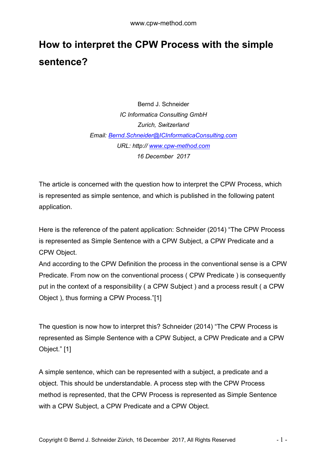## **How to interpret the CPW Process with the simple sentence?**

Bernd J. Schneider *IC Informatica Consulting GmbH Zurich, Switzerland Email: [Bernd.Schneider@ICInformaticaConsulting.com](mailto:Bernd.Schneider@ICInformaticaConsulting.com) URL: http:// [www.cpw-method.com](http://www.cpw-method.com/) 16 December 2017*

The article is concerned with the question how to interpret the CPW Process, which is represented as simple sentence, and which is published in the following patent application.

Here is the reference of the patent application: Schneider (2014) "The CPW Process is represented as Simple Sentence with a CPW Subject, a CPW Predicate and a CPW Object.

And according to the CPW Definition the process in the conventional sense is a CPW Predicate. From now on the conventional process ( CPW Predicate ) is consequently put in the context of a responsibility ( a CPW Subject ) and a process result ( a CPW Object ), thus forming a CPW Process."[1]

The question is now how to interpret this? Schneider (2014) "The CPW Process is represented as Simple Sentence with a CPW Subject, a CPW Predicate and a CPW Object." [1]

A simple sentence, which can be represented with a subject, a predicate and a object. This should be understandable. A process step with the CPW Process method is represented, that the CPW Process is represented as Simple Sentence with a CPW Subject, a CPW Predicate and a CPW Object.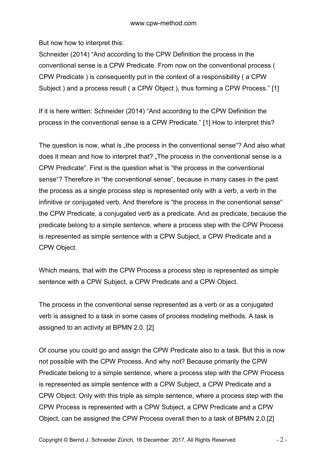But now how to interpret this:

Schneider (2014) "And according to the CPW Definition the process in the conventional sense is a CPW Predicate. From now on the conventional process ( CPW Predicate ) is consequently put in the context of a responsibility ( a CPW Subject ) and a process result ( a CPW Object ), thus forming a CPW Process." [1]

If it is here written: Schneider (2014) "And according to the CPW Definition the process in the conventional sense is a CPW Predicate." [1] How to interpret this?

The question is now, what is "the process in the conventional sense"? And also what does it mean and how to interpret that? "The process in the conventional sense is a CPW Predicate". First is the question what is "the process in the conventional sense"? Therefore in "the conventional sense", because in many cases in the past the process as a single process step is represented only with a verb, a verb in the infinitive or conjugated verb. And therefore is "the process in the conentional sense" the CPW Predicate, a conjugated verb as a predicate. And as predicate, because the predicate belong to a simple sentence, where a process step with the CPW Process is represented as simple sentence with a CPW Subject, a CPW Predicate and a CPW Object.

Which means, that with the CPW Process a process step is represented as simple sentence with a CPW Subject, a CPW Predicate and a CPW Object.

The process in the conventional sense represented as a verb or as a conjugated verb is assigned to a task in some cases of process modeling methods. A task is assigned to an activity at BPMN 2.0. [2]

Of course you could go and assign the CPW Predicate also to a task. But this is now not possible with the CPW Process. And why not? Because primarily the CPW Predicate belong to a simple sentence, where a process step with the CPW Process is represented as simple sentence with a CPW Subject, a CPW Predicate and a CPW Object. Only with this triple as simple sentence, where a process step with the CPW Process is represented with a CPW Subject, a CPW Predicate and a CPW Object, can be assigned the CPW Process overall then to a task of BPMN 2.0.[2]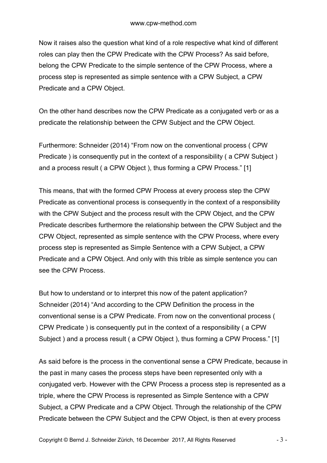Now it raises also the question what kind of a role respective what kind of different roles can play then the CPW Predicate with the CPW Process? As said before, belong the CPW Predicate to the simple sentence of the CPW Process, where a process step is represented as simple sentence with a CPW Subject, a CPW Predicate and a CPW Object.

On the other hand describes now the CPW Predicate as a conjugated verb or as a predicate the relationship between the CPW Subject and the CPW Object.

Furthermore: Schneider (2014) "From now on the conventional process ( CPW Predicate ) is consequently put in the context of a responsibility ( a CPW Subject ) and a process result ( a CPW Object ), thus forming a CPW Process." [1]

This means, that with the formed CPW Process at every process step the CPW Predicate as conventional process is consequently in the context of a responsibility with the CPW Subject and the process result with the CPW Object, and the CPW Predicate describes furthermore the relationship between the CPW Subject and the CPW Object, represented as simple sentence with the CPW Process, where every process step is represented as Simple Sentence with a CPW Subject, a CPW Predicate and a CPW Object. And only with this trible as simple sentence you can see the CPW Process.

But how to understand or to interpret this now of the patent application? Schneider (2014) "And according to the CPW Definition the process in the conventional sense is a CPW Predicate. From now on the conventional process ( CPW Predicate ) is consequently put in the context of a responsibility ( a CPW Subject ) and a process result ( a CPW Object ), thus forming a CPW Process." [1]

As said before is the process in the conventional sense a CPW Predicate, because in the past in many cases the process steps have been represented only with a conjugated verb. However with the CPW Process a process step is represented as a triple, where the CPW Process is represented as Simple Sentence with a CPW Subject, a CPW Predicate and a CPW Object. Through the relationship of the CPW Predicate between the CPW Subject and the CPW Object, is then at every process